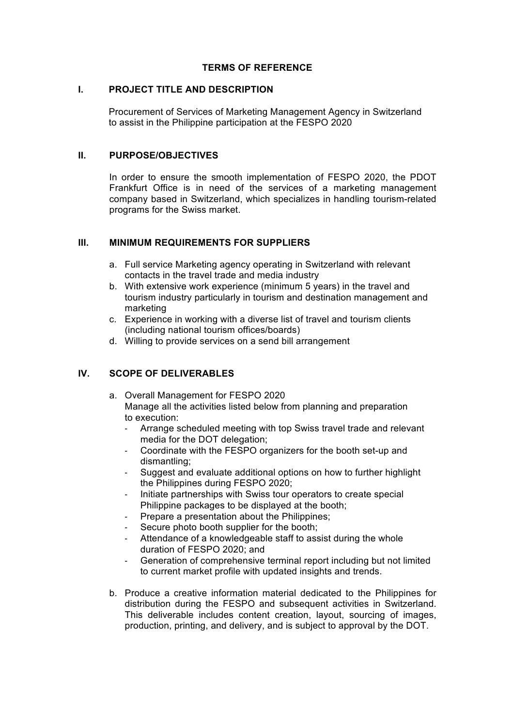#### **TERMS OF REFERENCE**

#### **I. PROJECT TITLE AND DESCRIPTION**

Procurement of Services of Marketing Management Agency in Switzerland to assist in the Philippine participation at the FESPO 2020

#### **II. PURPOSE/OBJECTIVES**

In order to ensure the smooth implementation of FESPO 2020, the PDOT Frankfurt Office is in need of the services of a marketing management company based in Switzerland, which specializes in handling tourism-related programs for the Swiss market.

## **III. MINIMUM REQUIREMENTS FOR SUPPLIERS**

- a. Full service Marketing agency operating in Switzerland with relevant contacts in the travel trade and media industry
- b. With extensive work experience (minimum 5 years) in the travel and tourism industry particularly in tourism and destination management and marketing
- c. Experience in working with a diverse list of travel and tourism clients (including national tourism offices/boards)
- d. Willing to provide services on a send bill arrangement

# **IV. SCOPE OF DELIVERABLES**

- a. Overall Management for FESPO 2020 Manage all the activities listed below from planning and preparation to execution:
	- Arrange scheduled meeting with top Swiss travel trade and relevant media for the DOT delegation;
	- Coordinate with the FESPO organizers for the booth set-up and dismantling;
	- Suggest and evaluate additional options on how to further highlight the Philippines during FESPO 2020;
	- Initiate partnerships with Swiss tour operators to create special Philippine packages to be displayed at the booth;
	- Prepare a presentation about the Philippines;
	- Secure photo booth supplier for the booth;
	- Attendance of a knowledgeable staff to assist during the whole duration of FESPO 2020; and
	- Generation of comprehensive terminal report including but not limited to current market profile with updated insights and trends.
- b. Produce a creative information material dedicated to the Philippines for distribution during the FESPO and subsequent activities in Switzerland. This deliverable includes content creation, layout, sourcing of images, production, printing, and delivery, and is subject to approval by the DOT.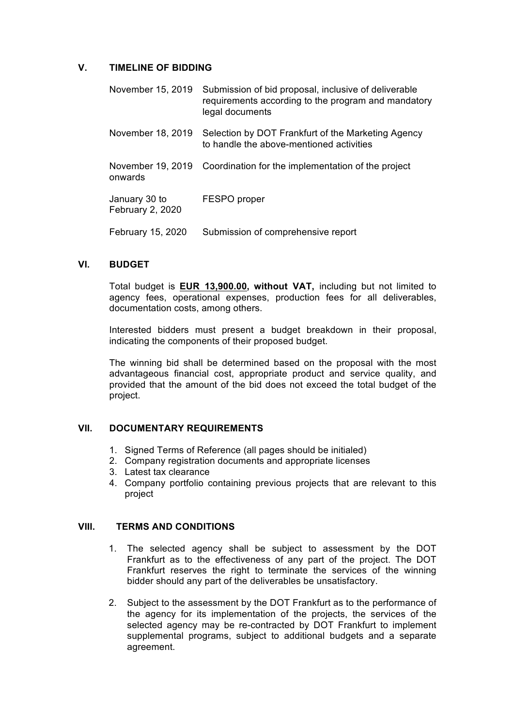## **V. TIMELINE OF BIDDING**

| November 15, 2019                 | Submission of bid proposal, inclusive of deliverable<br>requirements according to the program and mandatory<br>legal documents |
|-----------------------------------|--------------------------------------------------------------------------------------------------------------------------------|
| November 18, 2019                 | Selection by DOT Frankfurt of the Marketing Agency<br>to handle the above-mentioned activities                                 |
| onwards                           | November 19, 2019 Coordination for the implementation of the project                                                           |
| January 30 to<br>February 2, 2020 | FESPO proper                                                                                                                   |
| February 15, 2020                 | Submission of comprehensive report                                                                                             |

#### **VI. BUDGET**

Total budget is **EUR 13,900.00, without VAT,** including but not limited to agency fees, operational expenses, production fees for all deliverables, documentation costs, among others.

Interested bidders must present a budget breakdown in their proposal, indicating the components of their proposed budget.

The winning bid shall be determined based on the proposal with the most advantageous financial cost, appropriate product and service quality, and provided that the amount of the bid does not exceed the total budget of the project.

#### **VII. DOCUMENTARY REQUIREMENTS**

- 1. Signed Terms of Reference (all pages should be initialed)
- 2. Company registration documents and appropriate licenses
- 3. Latest tax clearance
- 4. Company portfolio containing previous projects that are relevant to this project

#### **VIII. TERMS AND CONDITIONS**

- 1. The selected agency shall be subject to assessment by the DOT Frankfurt as to the effectiveness of any part of the project. The DOT Frankfurt reserves the right to terminate the services of the winning bidder should any part of the deliverables be unsatisfactory.
- 2. Subject to the assessment by the DOT Frankfurt as to the performance of the agency for its implementation of the projects, the services of the selected agency may be re-contracted by DOT Frankfurt to implement supplemental programs, subject to additional budgets and a separate agreement.